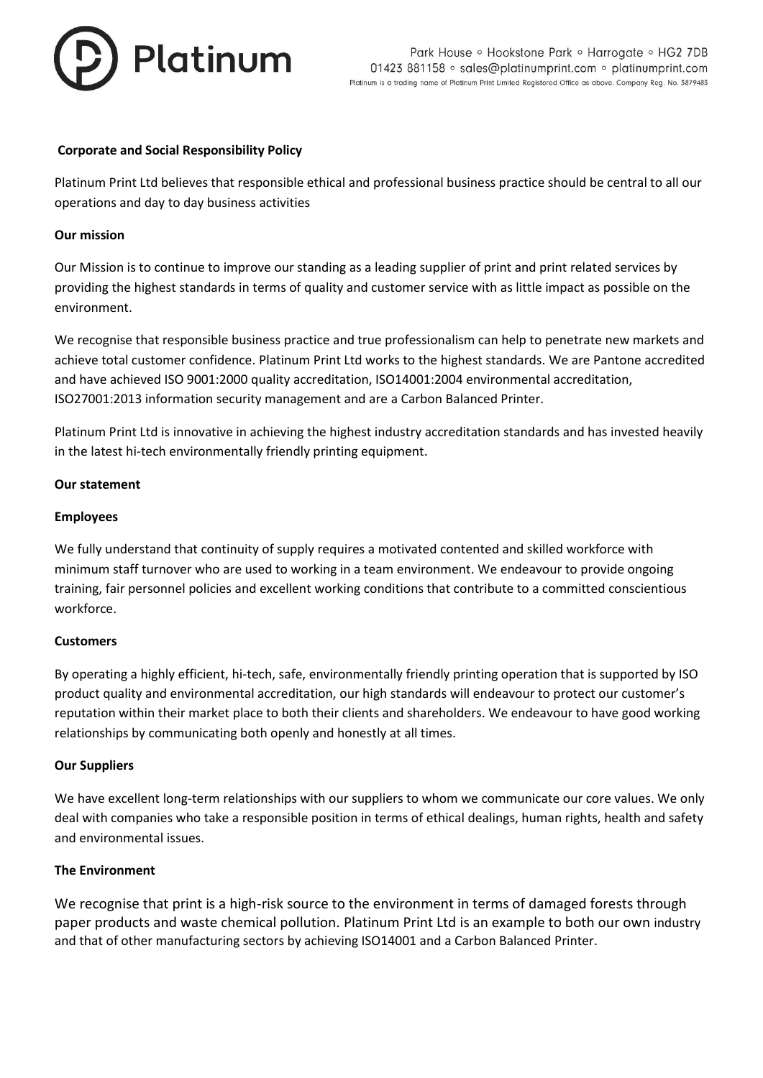

## **Corporate and Social Responsibility Policy**

Platinum Print Ltd believes that responsible ethical and professional business practice should be central to all our operations and day to day business activities

#### **Our mission**

Our Mission is to continue to improve our standing as a leading supplier of print and print related services by providing the highest standards in terms of quality and customer service with as little impact as possible on the environment.

We recognise that responsible business practice and true professionalism can help to penetrate new markets and achieve total customer confidence. Platinum Print Ltd works to the highest standards. We are Pantone accredited and have achieved ISO 9001:2000 quality accreditation, ISO14001:2004 environmental accreditation, ISO27001:2013 information security management and are a Carbon Balanced Printer.

Platinum Print Ltd is innovative in achieving the highest industry accreditation standards and has invested heavily in the latest hi-tech environmentally friendly printing equipment.

### **Our statement**

### **Employees**

We fully understand that continuity of supply requires a motivated contented and skilled workforce with minimum staff turnover who are used to working in a team environment. We endeavour to provide ongoing training, fair personnel policies and excellent working conditions that contribute to a committed conscientious workforce.

#### **Customers**

By operating a highly efficient, hi-tech, safe, environmentally friendly printing operation that is supported by ISO product quality and environmental accreditation, our high standards will endeavour to protect our customer's reputation within their market place to both their clients and shareholders. We endeavour to have good working relationships by communicating both openly and honestly at all times.

#### **Our Suppliers**

We have excellent long-term relationships with our suppliers to whom we communicate our core values. We only deal with companies who take a responsible position in terms of ethical dealings, human rights, health and safety and environmental issues.

#### **The Environment**

We recognise that print is a high-risk source to the environment in terms of damaged forests through paper products and waste chemical pollution. Platinum Print Ltd is an example to both our own industry and that of other manufacturing sectors by achieving ISO14001 and a Carbon Balanced Printer.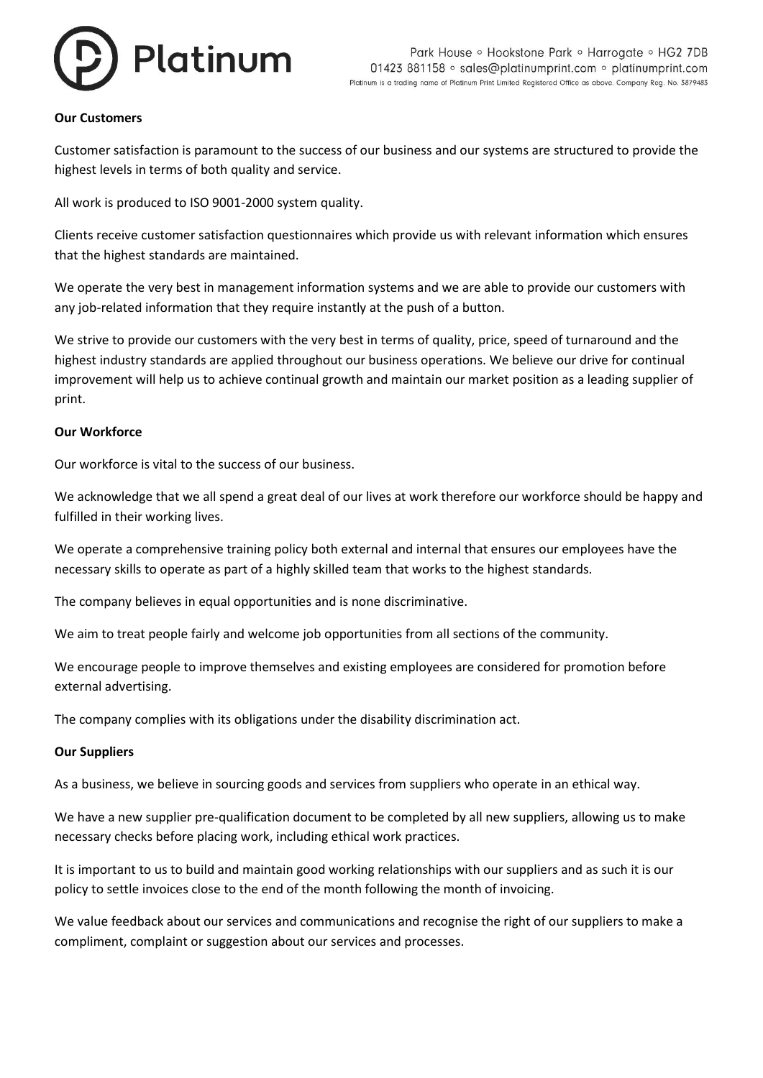

#### **Our Customers**

Customer satisfaction is paramount to the success of our business and our systems are structured to provide the highest levels in terms of both quality and service.

All work is produced to ISO 9001-2000 system quality.

Clients receive customer satisfaction questionnaires which provide us with relevant information which ensures that the highest standards are maintained.

We operate the very best in management information systems and we are able to provide our customers with any job-related information that they require instantly at the push of a button.

We strive to provide our customers with the very best in terms of quality, price, speed of turnaround and the highest industry standards are applied throughout our business operations. We believe our drive for continual improvement will help us to achieve continual growth and maintain our market position as a leading supplier of print.

#### **Our Workforce**

Our workforce is vital to the success of our business.

We acknowledge that we all spend a great deal of our lives at work therefore our workforce should be happy and fulfilled in their working lives.

We operate a comprehensive training policy both external and internal that ensures our employees have the necessary skills to operate as part of a highly skilled team that works to the highest standards.

The company believes in equal opportunities and is none discriminative.

We aim to treat people fairly and welcome job opportunities from all sections of the community.

We encourage people to improve themselves and existing employees are considered for promotion before external advertising.

The company complies with its obligations under the disability discrimination act.

#### **Our Suppliers**

As a business, we believe in sourcing goods and services from suppliers who operate in an ethical way.

We have a new supplier pre-qualification document to be completed by all new suppliers, allowing us to make necessary checks before placing work, including ethical work practices.

It is important to us to build and maintain good working relationships with our suppliers and as such it is our policy to settle invoices close to the end of the month following the month of invoicing.

We value feedback about our services and communications and recognise the right of our suppliers to make a compliment, complaint or suggestion about our services and processes.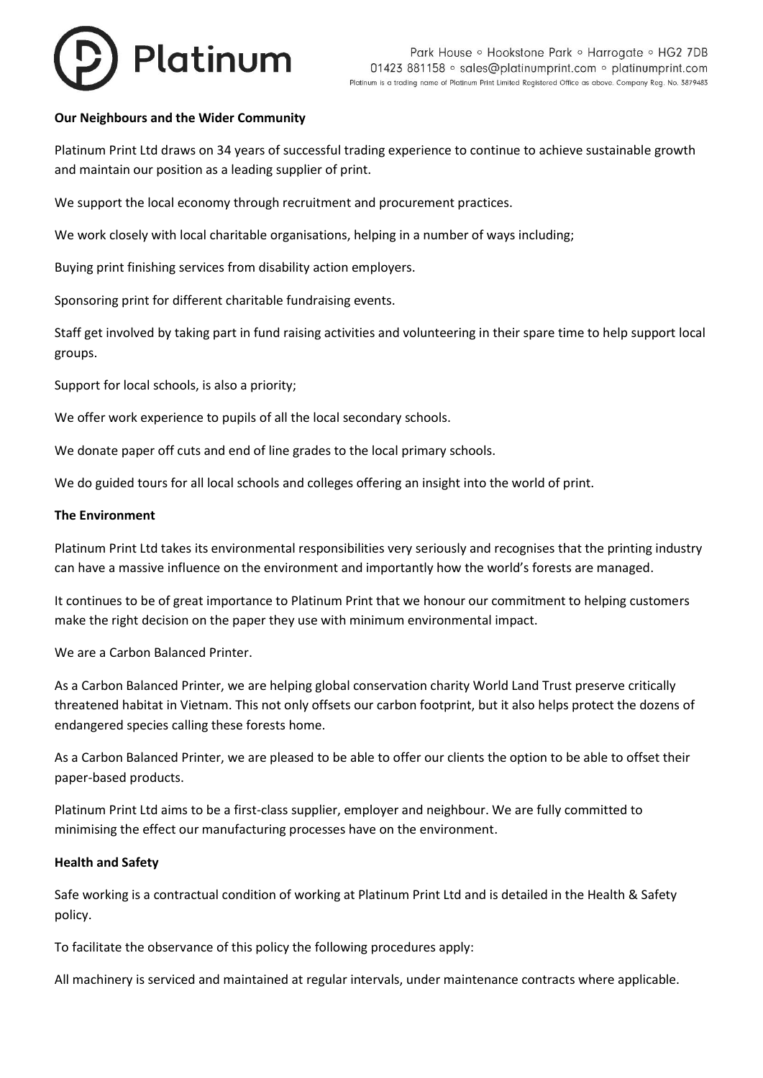# Platinum

# **Our Neighbours and the Wider Community**

Platinum Print Ltd draws on 34 years of successful trading experience to continue to achieve sustainable growth and maintain our position as a leading supplier of print.

We support the local economy through recruitment and procurement practices.

We work closely with local charitable organisations, helping in a number of ways including;

Buying print finishing services from disability action employers.

Sponsoring print for different charitable fundraising events.

Staff get involved by taking part in fund raising activities and volunteering in their spare time to help support local groups.

Support for local schools, is also a priority;

We offer work experience to pupils of all the local secondary schools.

We donate paper off cuts and end of line grades to the local primary schools.

We do guided tours for all local schools and colleges offering an insight into the world of print.

#### **The Environment**

Platinum Print Ltd takes its environmental responsibilities very seriously and recognises that the printing industry can have a massive influence on the environment and importantly how the world's forests are managed.

It continues to be of great importance to Platinum Print that we honour our commitment to helping customers make the right decision on the paper they use with minimum environmental impact.

We are a Carbon Balanced Printer.

As a Carbon Balanced Printer, we are helping global conservation charity World Land Trust preserve critically threatened habitat in Vietnam. This not only offsets our carbon footprint, but it also helps protect the dozens of endangered species calling these forests home.

As a Carbon Balanced Printer, we are pleased to be able to offer our clients the option to be able to offset their paper-based products.

Platinum Print Ltd aims to be a first-class supplier, employer and neighbour. We are fully committed to minimising the effect our manufacturing processes have on the environment.

#### **Health and Safety**

Safe working is a contractual condition of working at Platinum Print Ltd and is detailed in the Health & Safety policy.

To facilitate the observance of this policy the following procedures apply:

All machinery is serviced and maintained at regular intervals, under maintenance contracts where applicable.